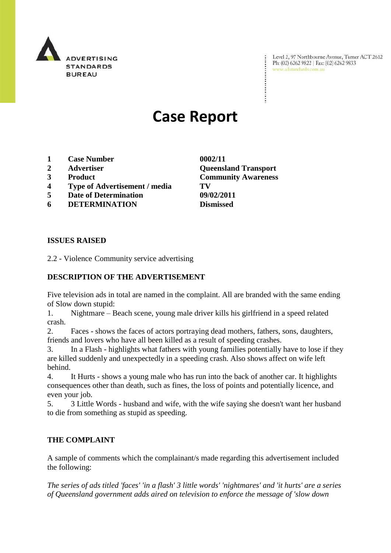

Level 2, 97 Northbourne Avenue, Turner ACT 2612 Ph: (02) 6262 9822 | Fax: (02) 6262 9833 www.adstandards.com.au

# **Case Report**

- **1 Case Number 0002/11**
- 
- 
- **4 Type of Advertisement / media TV**
- **5 Date of Determination 09/02/2011**
- **6 DETERMINATION Dismissed**

### **ISSUES RAISED**

2.2 - Violence Community service advertising

### **DESCRIPTION OF THE ADVERTISEMENT**

Five television ads in total are named in the complaint. All are branded with the same ending of Slow down stupid:

1. Nightmare – Beach scene, young male driver kills his girlfriend in a speed related crash.

2. Faces - shows the faces of actors portraying dead mothers, fathers, sons, daughters, friends and lovers who have all been killed as a result of speeding crashes.

3. In a Flash - highlights what fathers with young families potentially have to lose if they are killed suddenly and unexpectedly in a speeding crash. Also shows affect on wife left behind.

4. It Hurts - shows a young male who has run into the back of another car. It highlights consequences other than death, such as fines, the loss of points and potentially licence, and even your job.

5. 3 Little Words - husband and wife, with the wife saying she doesn't want her husband to die from something as stupid as speeding.

### **THE COMPLAINT**

A sample of comments which the complainant/s made regarding this advertisement included the following:

*The series of ads titled 'faces' 'in a flash' 3 little words' 'nightmares' and 'it hurts' are a series of Queensland government adds aired on television to enforce the message of 'slow down* 

**2 Advertiser Queensland Transport 3 Product Community Awareness**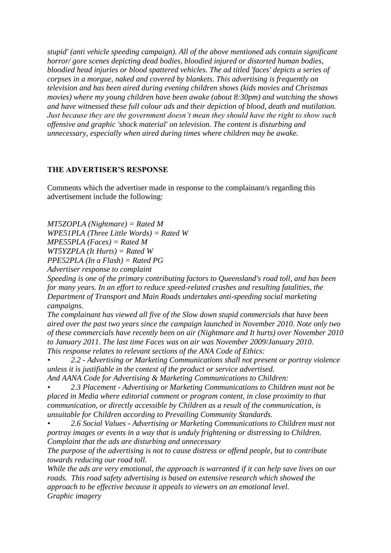*stupid' (anti vehicle speeding campaign). All of the above mentioned ads contain significant horror/ gore scenes depicting dead bodies, bloodied injured or distorted human bodies, bloodied head injuries or blood spattered vehicles. The ad titled 'faces' depicts a series of corpses in a morgue, naked and covered by blankets. This advertising is frequently on television and has been aired during evening children shows (kids movies and Christmas movies) where my young children have been awake (about 8:30pm) and watching the shows and have witnessed these full colour ads and their depiction of blood, death and mutilation. Just because they are the government doesn"t mean they should have the right to show such offensive and graphic 'shock material' on television. The content is disturbing and unnecessary, especially when aired during times where children may be awake.*

#### **THE ADVERTISER'S RESPONSE**

Comments which the advertiser made in response to the complainant/s regarding this advertisement include the following:

*MT5ZOPLA (Nightmare) = Rated M WPE51PLA (Three Little Words) = Rated W MPE55PLA (Faces) = Rated M WT5YZPLA (It Hurts) = Rated W PPE52PLA (In a Flash) = Rated PG*

*Advertiser response to complaint*

*Speeding is one of the primary contributing factors to Queensland's road toll, and has been for many years. In an effort to reduce speed-related crashes and resulting fatalities, the Department of Transport and Main Roads undertakes anti-speeding social marketing campaigns.*

*The complainant has viewed all five of the Slow down stupid commercials that have been aired over the past two years since the campaign launched in November 2010. Note only two of these commercials have recently been on air (Nightmare and It hurts) over November 2010 to January 2011. The last time Faces was on air was November 2009/January 2010. This response relates to relevant sections of the ANA Code of Ethics:* 

*• 2.2 - Advertising or Marketing Communications shall not present or portray violence unless it is justifiable in the context of the product or service advertised.* 

*And AANA Code for Advertising & Marketing Communications to Children:*

*• 2.3 Placement - Advertising or Marketing Communications to Children must not be placed in Media where editorial comment or program content, in close proximity to that communication, or directly accessible by Children as a result of the communication, is unsuitable for Children according to Prevailing Community Standards.*

*• 2.6 Social Values - Advertising or Marketing Communications to Children must not portray images or events in a way that is unduly frightening or distressing to Children. Complaint that the ads are disturbing and unnecessary*

*The purpose of the advertising is not to cause distress or offend people, but to contribute towards reducing our road toll.*

*While the ads are very emotional, the approach is warranted if it can help save lives on our roads. This road safety advertising is based on extensive research which showed the approach to be effective because it appeals to viewers on an emotional level. Graphic imagery*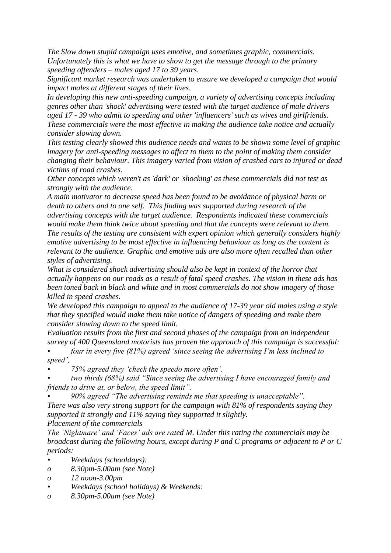*The Slow down stupid campaign uses emotive, and sometimes graphic, commercials. Unfortunately this is what we have to show to get the message through to the primary speeding offenders – males aged 17 to 39 years.*

*Significant market research was undertaken to ensure we developed a campaign that would impact males at different stages of their lives.*

*In developing this new anti-speeding campaign, a variety of advertising concepts including genres other than 'shock' advertising were tested with the target audience of male drivers aged 17 - 39 who admit to speeding and other 'influencers' such as wives and girlfriends. These commercials were the most effective in making the audience take notice and actually consider slowing down.*

*This testing clearly showed this audience needs and wants to be shown some level of graphic imagery for anti-speeding messages to affect to them to the point of making them consider changing their behaviour. This imagery varied from vision of crashed cars to injured or dead victims of road crashes.*

*Other concepts which weren't as 'dark' or 'shocking' as these commercials did not test as strongly with the audience.*

*A main motivator to decrease speed has been found to be avoidance of physical harm or death to others and to one self. This finding was supported during research of the advertising concepts with the target audience. Respondents indicated these commercials would make them think twice about speeding and that the concepts were relevant to them. The results of the testing are consistent with expert opinion which generally considers highly emotive advertising to be most effective in influencing behaviour as long as the content is relevant to the audience. Graphic and emotive ads are also more often recalled than other styles of advertising.*

*What is considered shock advertising should also be kept in context of the horror that actually happens on our roads as a result of fatal speed crashes. The vision in these ads has been toned back in black and white and in most commercials do not show imagery of those killed in speed crashes.* 

*We developed this campaign to appeal to the audience of 17-39 year old males using a style that they specified would make them take notice of dangers of speeding and make them consider slowing down to the speed limit.*

*Evaluation results from the first and second phases of the campaign from an independent survey of 400 Queensland motorists has proven the approach of this campaign is successful:*

*• four in every five (81%) agreed "since seeing the advertising I"m less inclined to speed",* 

*• 75% agreed they "check the speedo more often".* 

*• two thirds (68%) said "Since seeing the advertising I have encouraged family and friends to drive at, or below, the speed limit".*

*• 90% agreed "The advertising reminds me that speeding is unacceptable". There was also very strong support for the campaign with 81% of respondents saying they supported it strongly and 11% saying they supported it slightly.* 

*Placement of the commercials* 

*The "Nightmare" and "Faces" ads are rated M. Under this rating the commercials may be broadcast during the following hours, except during P and C programs or adjacent to P or C periods:*

*• Weekdays (schooldays):*

- *o 8.30pm-5.00am (see Note)*
- *o 12 noon-3.00pm*
- *• Weekdays (school holidays) & Weekends:*
- *o 8.30pm-5.00am (see Note)*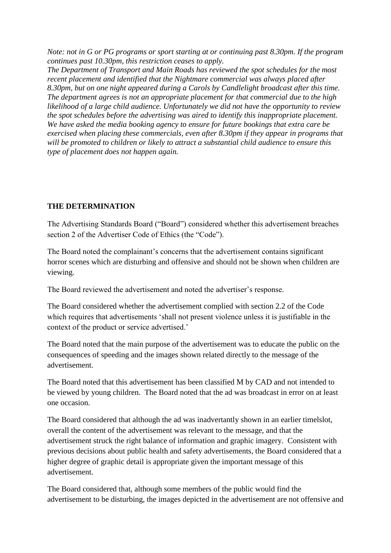*Note: not in G or PG programs or sport starting at or continuing past 8.30pm. If the program continues past 10.30pm, this restriction ceases to apply.*

*The Department of Transport and Main Roads has reviewed the spot schedules for the most recent placement and identified that the Nightmare commercial was always placed after 8.30pm, but on one night appeared during a Carols by Candlelight broadcast after this time. The department agrees is not an appropriate placement for that commercial due to the high likelihood of a large child audience. Unfortunately we did not have the opportunity to review the spot schedules before the advertising was aired to identify this inappropriate placement. We have asked the media booking agency to ensure for future bookings that extra care be exercised when placing these commercials, even after 8.30pm if they appear in programs that will be promoted to children or likely to attract a substantial child audience to ensure this type of placement does not happen again.*

## **THE DETERMINATION**

The Advertising Standards Board ("Board") considered whether this advertisement breaches section 2 of the Advertiser Code of Ethics (the "Code").

The Board noted the complainant's concerns that the advertisement contains significant horror scenes which are disturbing and offensive and should not be shown when children are viewing.

The Board reviewed the advertisement and noted the advertiser's response.

The Board considered whether the advertisement complied with section 2.2 of the Code which requires that advertisements "shall not present violence unless it is justifiable in the context of the product or service advertised."

The Board noted that the main purpose of the advertisement was to educate the public on the consequences of speeding and the images shown related directly to the message of the advertisement.

The Board noted that this advertisement has been classified M by CAD and not intended to be viewed by young children. The Board noted that the ad was broadcast in error on at least one occasion.

The Board considered that although the ad was inadvertantly shown in an earlier timelslot, overall the content of the advertisement was relevant to the message, and that the advertisement struck the right balance of information and graphic imagery. Consistent with previous decisions about public health and safety advertisements, the Board considered that a higher degree of graphic detail is appropriate given the important message of this advertisement.

The Board considered that, although some members of the public would find the advertisement to be disturbing, the images depicted in the advertisement are not offensive and